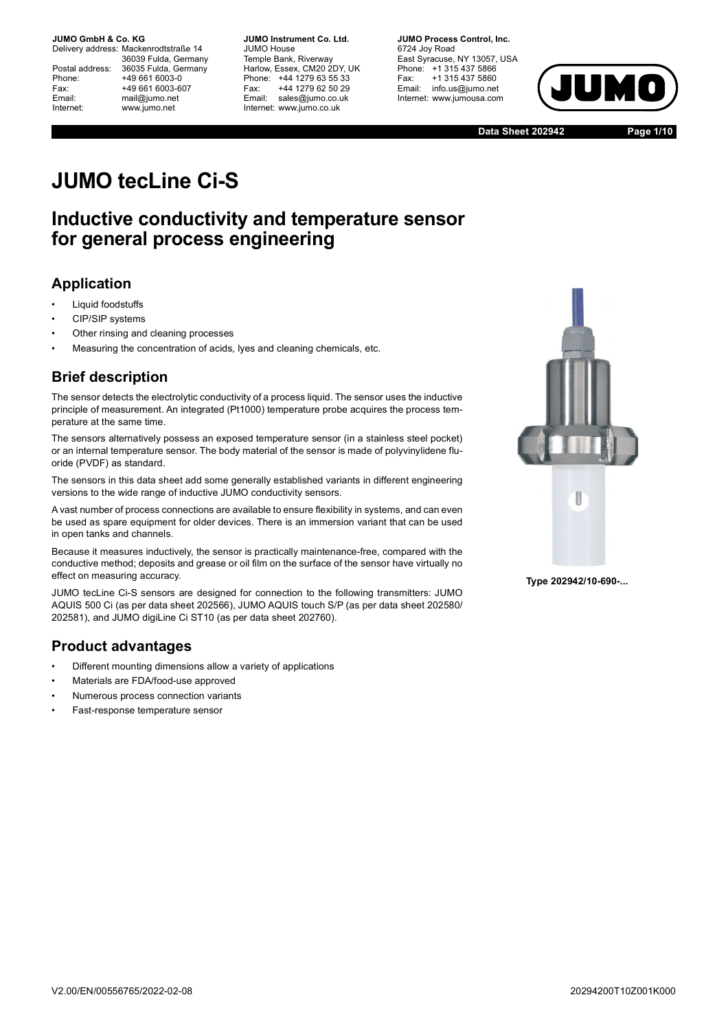Delivery address: Mackenrodtstraße 14 36039 Fulda, Germany Postal address: 36035 Fulda, Germany Phone: +49 661 6003-0 Fax: +49 661 6003-607 Email: mail@jumo.net Internet: www.jumo.net

**JUMO Instrument Co. Ltd.** JUMO House Temple Bank, Riverway Harlow, Essex, CM20 2DY, UK Phone: +44 1279 63 55 33 Fax: +44 1279 62 50 29 Email: sales@jumo.co.uk Internet: www.jumo.co.uk

**JUMO Process Control, Inc.** 6724 Joy Road East Syracuse, NY 13057, USA Phone: +1 315 437 5866 Fax: +1 315 437 5860 Email: info.us@jumo.net Internet: www.jumousa.com



**Data Sheet 202942 Page 1/10**

# **JUMO tecLine Ci-S**

## **Inductive conductivity and temperature sensor for general process engineering**

## **Application**

- Liquid foodstuffs
- CIP/SIP systems
- Other rinsing and cleaning processes
- Measuring the concentration of acids, lyes and cleaning chemicals, etc.

## **Brief description**

The sensor detects the electrolytic conductivity of a process liquid. The sensor uses the inductive principle of measurement. An integrated (Pt1000) temperature probe acquires the process temperature at the same time.

The sensors alternatively possess an exposed temperature sensor (in a stainless steel pocket) or an internal temperature sensor. The body material of the sensor is made of polyvinylidene fluoride (PVDF) as standard.

The sensors in this data sheet add some generally established variants in different engineering versions to the wide range of inductive JUMO conductivity sensors.

A vast number of process connections are available to ensure flexibility in systems, and can even be used as spare equipment for older devices. There is an immersion variant that can be used in open tanks and channels.

Because it measures inductively, the sensor is practically maintenance-free, compared with the conductive method; deposits and grease or oil film on the surface of the sensor have virtually no effect on measuring accuracy.

JUMO tecLine Ci-S sensors are designed for connection to the following transmitters: JUMO AQUIS 500 Ci (as per data sheet 202566), JUMO AQUIS touch S/P (as per data sheet 202580/ 202581), and JUMO digiLine Ci ST10 (as per data sheet 202760).

### **Product advantages**

- Different mounting dimensions allow a variety of applications
- Materials are FDA/food-use approved
- Numerous process connection variants
- Fast-response temperature sensor



**Type 202942/10-690-...**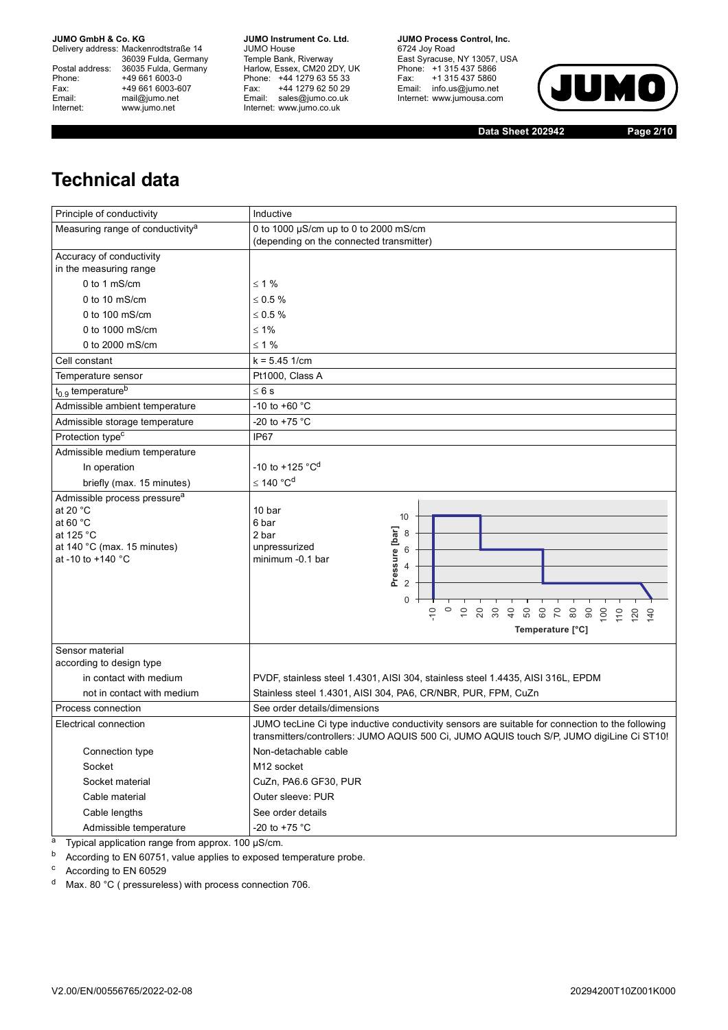Delivery address: Mackenrodtstraße 14 36039 Fulda, Germany Postal address: 36035 Fulda, Germany Phone: +49 661 6003-0<br>
Fax: +49 661 6003-6<br>
Email: mail@jumo.net +49 661 6003-607 mail@jumo.net Internet: www.jumo.net

**JUMO Instrument Co. Ltd.** JUMO House Temple Bank, Riverway Harlow, Essex, CM20 2DY, UK Phone: +44 1279 63 55 33 Fax: +44 1279 62 50 29 Email: sales@jumo.co.uk Internet: www.jumo.co.uk

**JUMO Process Control, Inc.** 6724 Joy Road East Syracuse, NY 13057, USA Phone: +1 315 437 5866 Fax: +1 315 437 5860 Email: info.us@jumo.net Internet: www.jumousa.com



**Data Sheet 202942 Page 2/10**

## **Technical data**

| Principle of conductivity                                                                                                                               | Inductive                                                                                                                                                                                                             |  |  |  |  |  |  |
|---------------------------------------------------------------------------------------------------------------------------------------------------------|-----------------------------------------------------------------------------------------------------------------------------------------------------------------------------------------------------------------------|--|--|--|--|--|--|
| Measuring range of conductivity <sup>a</sup>                                                                                                            | 0 to 1000 µS/cm up to 0 to 2000 mS/cm                                                                                                                                                                                 |  |  |  |  |  |  |
|                                                                                                                                                         | (depending on the connected transmitter)                                                                                                                                                                              |  |  |  |  |  |  |
| Accuracy of conductivity<br>in the measuring range                                                                                                      |                                                                                                                                                                                                                       |  |  |  |  |  |  |
| 0 to 1 mS/cm                                                                                                                                            | $\leq 1\%$                                                                                                                                                                                                            |  |  |  |  |  |  |
| 0 to 10 $mS/cm$                                                                                                                                         | $\leq 0.5 \%$                                                                                                                                                                                                         |  |  |  |  |  |  |
| 0 to 100 mS/cm                                                                                                                                          | $\leq 0.5 \%$                                                                                                                                                                                                         |  |  |  |  |  |  |
| 0 to 1000 mS/cm                                                                                                                                         | $\leq 1\%$                                                                                                                                                                                                            |  |  |  |  |  |  |
| 0 to 2000 mS/cm                                                                                                                                         | $< 1 \%$                                                                                                                                                                                                              |  |  |  |  |  |  |
| Cell constant                                                                                                                                           | $k = 5.45$ 1/cm                                                                                                                                                                                                       |  |  |  |  |  |  |
| Temperature sensor                                                                                                                                      | Pt1000, Class A                                                                                                                                                                                                       |  |  |  |  |  |  |
| $t_{0.9}$ temperature <sup>b</sup>                                                                                                                      | $\leq 6$ s                                                                                                                                                                                                            |  |  |  |  |  |  |
| Admissible ambient temperature                                                                                                                          | -10 to +60 $^{\circ}$ C                                                                                                                                                                                               |  |  |  |  |  |  |
| Admissible storage temperature                                                                                                                          | -20 to +75 $^{\circ}$ C                                                                                                                                                                                               |  |  |  |  |  |  |
| Protection type <sup>c</sup>                                                                                                                            | IP67                                                                                                                                                                                                                  |  |  |  |  |  |  |
| Admissible medium temperature                                                                                                                           |                                                                                                                                                                                                                       |  |  |  |  |  |  |
| In operation                                                                                                                                            | -10 to +125 °C <sup>d</sup>                                                                                                                                                                                           |  |  |  |  |  |  |
| briefly (max. 15 minutes)                                                                                                                               | $≤ 140 °Cd$                                                                                                                                                                                                           |  |  |  |  |  |  |
| Admissible process pressure <sup>a</sup><br>at 20 $^{\circ}$ C<br>at 60 $^{\circ}$ C<br>at 125 °C<br>at $140 °C$ (max. 15 minutes)<br>at -10 to +140 °C | 10 bar<br>10<br>6 bar<br>Pressure [bar]<br>8<br>2 bar<br>unpressurized<br>6<br>minimum -0.1 bar<br>4<br>$\overline{2}$<br>0<br>$\frac{0}{1}$<br>$\circ$<br>$\overline{C}$<br><b>2234585896554</b><br>Temperature [°C] |  |  |  |  |  |  |
| Sensor material                                                                                                                                         |                                                                                                                                                                                                                       |  |  |  |  |  |  |
| according to design type                                                                                                                                |                                                                                                                                                                                                                       |  |  |  |  |  |  |
| in contact with medium                                                                                                                                  | PVDF, stainless steel 1.4301, AISI 304, stainless steel 1.4435, AISI 316L, EPDM                                                                                                                                       |  |  |  |  |  |  |
| not in contact with medium                                                                                                                              | Stainless steel 1.4301, AISI 304, PA6, CR/NBR, PUR, FPM, CuZn                                                                                                                                                         |  |  |  |  |  |  |
| Process connection                                                                                                                                      | See order details/dimensions                                                                                                                                                                                          |  |  |  |  |  |  |
| Electrical connection                                                                                                                                   | JUMO tecLine Ci type inductive conductivity sensors are suitable for connection to the following<br>transmitters/controllers: JUMO AQUIS 500 Ci, JUMO AQUIS touch S/P, JUMO digiLine Ci ST10!                         |  |  |  |  |  |  |
| Connection type                                                                                                                                         | Non-detachable cable                                                                                                                                                                                                  |  |  |  |  |  |  |
| Socket                                                                                                                                                  | M <sub>12</sub> socket                                                                                                                                                                                                |  |  |  |  |  |  |
| Socket material                                                                                                                                         | CuZn, PA6.6 GF30, PUR                                                                                                                                                                                                 |  |  |  |  |  |  |
| Cable material                                                                                                                                          | Outer sleeve: PUR                                                                                                                                                                                                     |  |  |  |  |  |  |
| Cable lengths                                                                                                                                           | See order details                                                                                                                                                                                                     |  |  |  |  |  |  |
| Admissible temperature                                                                                                                                  | -20 to +75 $^{\circ}$ C                                                                                                                                                                                               |  |  |  |  |  |  |

<span id="page-1-1"></span> $\overline{a}$  Typical application range from approx. 100 µS/cm.

b According to EN 60751, value applies to exposed temperature probe.

<sup>c</sup> According to EN 60529

<span id="page-1-0"></span><sup>d</sup> Max. 80 °C ( pressureless) with process connection 706.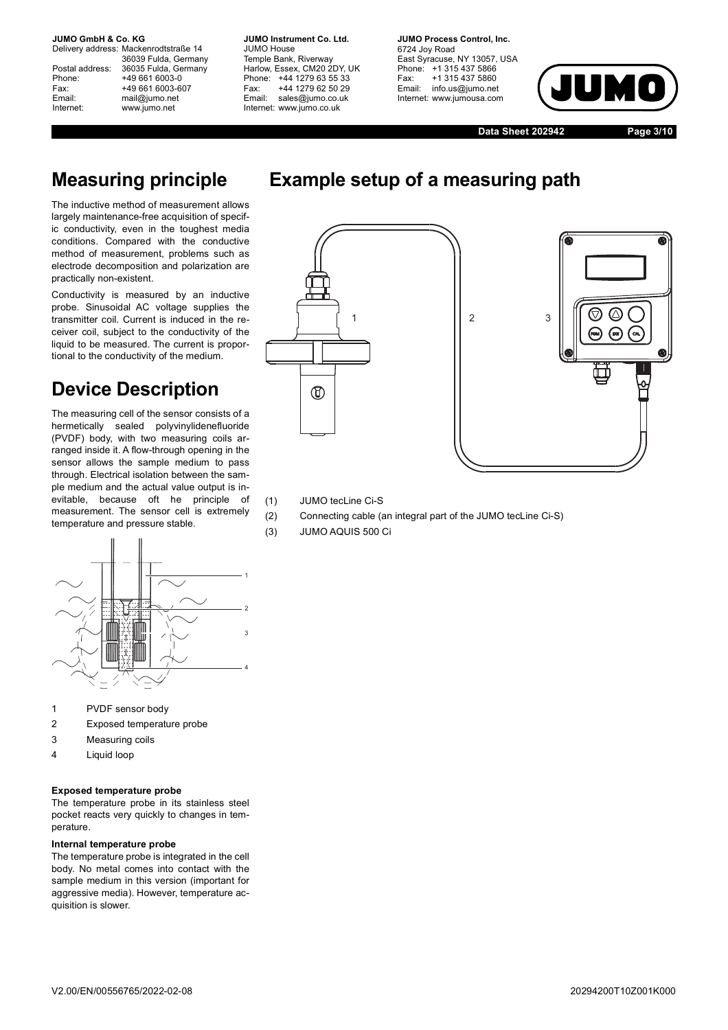Delivery address: Mackenrodtstraße 14 36039 Fulda, Germany Postal address: 36035 Fulda, Germany Phone: +49 661 6003-0 Fax: +49 661 6003-607 Email: mail@jumo.net Internet: www.jumo.net

**JUMO Instrument Co. Ltd.** JUMO House Temple Bank, Riverway Harlow, Essex, CM20 2DY, UK Phone: +44 1279 63 55 33 Fax: +44 1279 62 50 29 Email: sales@jumo.co.uk Internet: www.jumo.co.uk

**JUMO Process Control, Inc.** 6724 Joy Road East Syracuse, NY 13057, USA Phone: +1 315 437 5866 Fax: +1 315 437 5860 Email: info.us@jumo.net Internet: www.jumousa.com



**Data Sheet 202942 Page 3/10**

# **Measuring principle**

The inductive method of measurement allows largely maintenance-free acquisition of specific conductivity, even in the toughest media conditions. Compared with the conductive method of measurement, problems such as electrode decomposition and polarization are practically non-existent.

Conductivity is measured by an inductive probe. Sinusoidal AC voltage supplies the transmitter coil. Current is induced in the receiver coil, subject to the conductivity of the liquid to be measured. The current is proportional to the conductivity of the medium.

# **Device Description**

The measuring cell of the sensor consists of a hermetically sealed polyvinylidenefluoride (PVDF) body, with two measuring coils arranged inside it. A flow-through opening in the sensor allows the sample medium to pass through. Electrical isolation between the sample medium and the actual value output is inevitable. because oft he principle of measurement. The sensor cell is extremely temperature and pressure stable.



- 1 PVDF sensor body
- 2 Exposed temperature probe
- 3 Measuring coils
- 4 Liquid loop

#### **Exposed temperature probe**

The temperature probe in its stainless steel pocket reacts very quickly to changes in temperature.

#### **Internal temperature probe**

The temperature probe is integrated in the cell body. No metal comes into contact with the sample medium in this version (important for aggressive media). However, temperature acquisition is slower.



**Example setup of a measuring path**



(1) JUMO tecLine Ci-S

- (2) Connecting cable (an integral part of the JUMO tecLine Ci-S)
- (3) JUMO AQUIS 500 Ci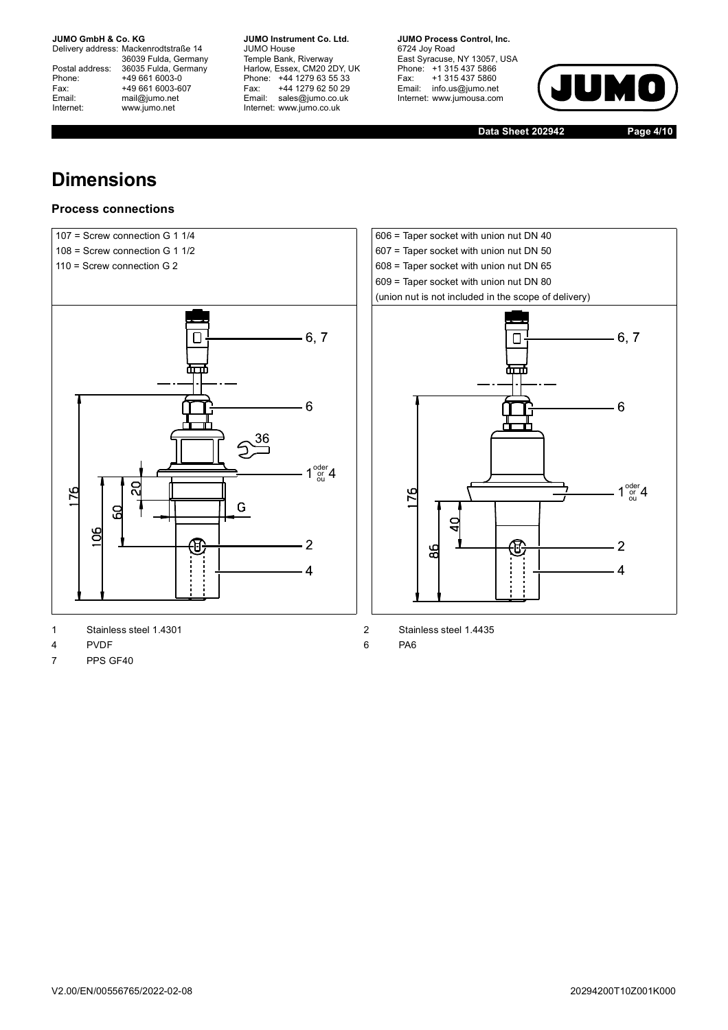Delivery address: Mackenrodtstraße 14 36039 Fulda, Germany Postal address: 36035 Fulda, Germany Postal address: 36035 Fulda, Ge<br>
Phone: +49 661 6003-0<br>
Fax: +49 661 6003-6<br>
Email: mail@jumo.net +49 661 6003-607 mail@jumo.net Internet: www.jumo.net

**JUMO Instrument Co. Ltd.** JUMO House Temple Bank, Riverway Harlow, Essex, CM20 2DY, UK Phone: +44 1279 63 55 33 Fax: +44 1279 62 50 29 Email: sales@jumo.co.uk Internet: www.jumo.co.uk

**JUMO Process Control, Inc.** 6724 Joy Road East Syracuse, NY 13057, USA Phone: +1 315 437 5866 Fax: +1 315 437 5860 Email: info.us@jumo.net Internet: www.jumousa.com



**Data Sheet 202942 Page 4/10**

# **Dimensions**

### **Process connections**



- 1 Stainless steel 1.4301 2 Stainless steel 1.4435
- 4 PVDF 6 PA6
- 7 PPS GF40

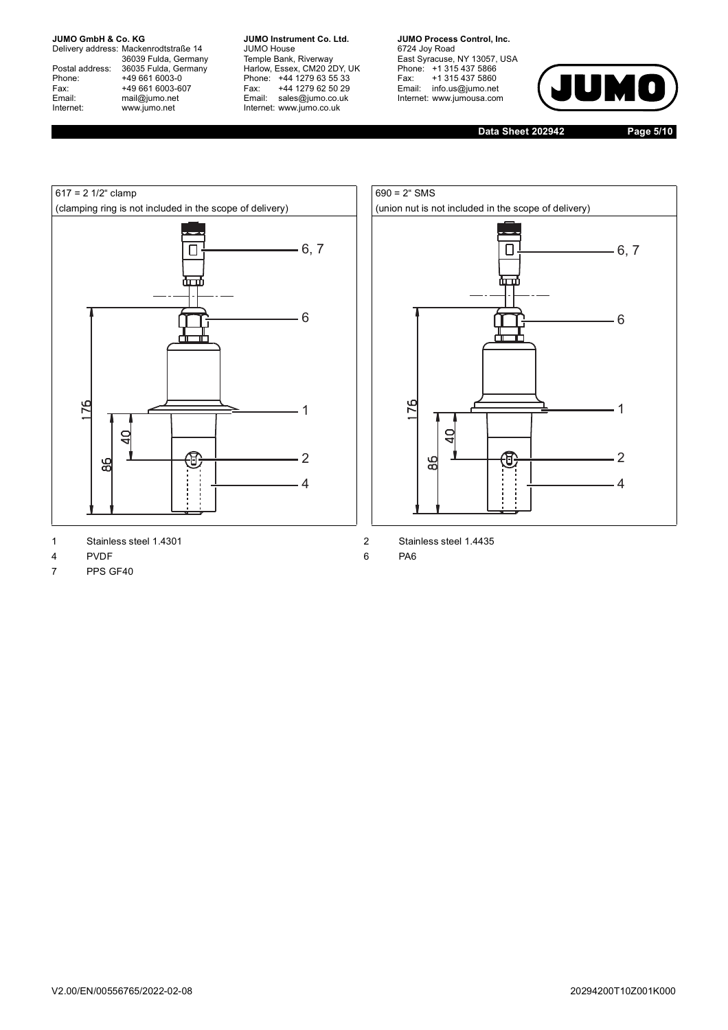Delivery address: Mackenrodtstraße 14 36039 Fulda, Germany Postal address: 36035 Fulda, Germany Postal address: 36035 Fulda, Ge<br>
Phone: +49 661 6003-0<br>
Fax: +49 661 6003-6<br>
Email: mail@jumo.net +49 661 6003-607 mail@jumo.net Internet: www.jumo.net

**JUMO Instrument Co. Ltd.** JUMO House Temple Bank, Riverway Harlow, Essex, CM20 2DY, UK Phone: +44 1279 63 55 33 Fax: +44 1279 62 50 29 Email: sales@jumo.co.uk Internet: www.jumo.co.uk

**JUMO Process Control, Inc.** 6724 Joy Road East Syracuse, NY 13057, USA Phone: +1 315 437 5866 Fax: +1 315 437 5860 Email: info.us@jumo.net Internet: www.jumousa.com



**Data Sheet 202942 Page 5/10**





- 1 Stainless steel 1.4301 2 Stainless steel 1.4435
- 4 PVDF 6 PA6
- 7 PPS GF40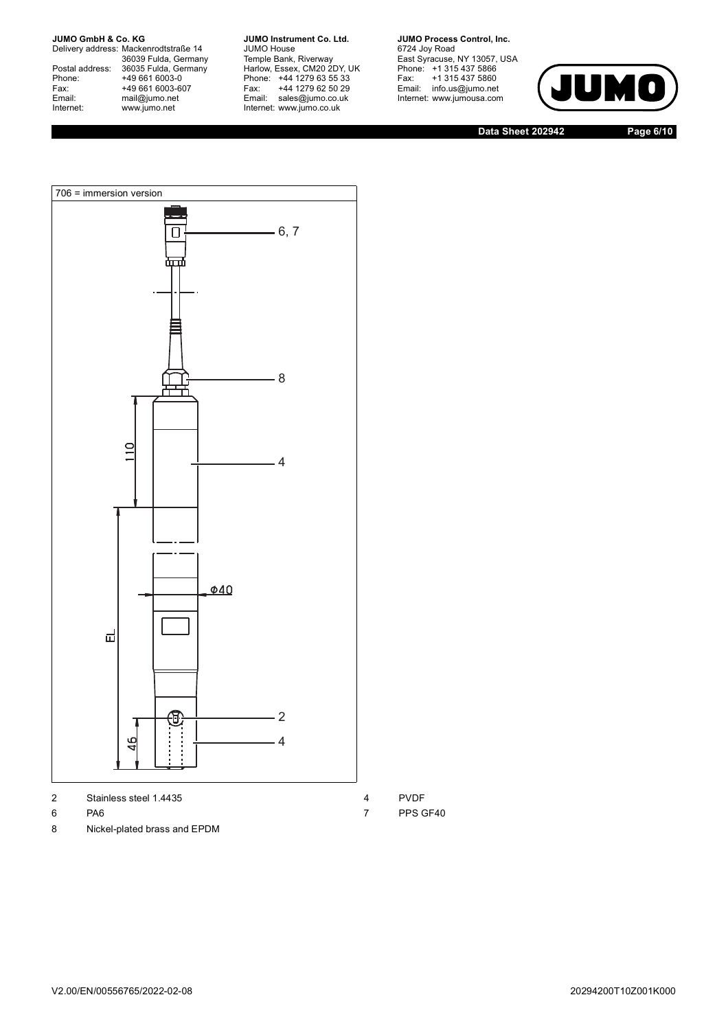Delivery address: Mackenrodtstraße 14 36039 Fulda, Germany Postal address: 36035 Fulda, Germany Postal address: 36035 Fulda, Ge<br>
Phone: +49 661 6003-0<br>
Fax: +49 661 6003-6<br>
Email: mail@jumo.net +49 661 6003-607 mail@jumo.net Internet: www.jumo.net

**JUMO Instrument Co. Ltd.** JUMO House Temple Bank, Riverway Harlow, Essex, CM20 2DY, UK Phone: +44 1279 63 55 33 Fax: +44 1279 62 50 29 Email: sales@jumo.co.uk Internet: www.jumo.co.uk

**JUMO Process Control, Inc.** 6724 Joy Road

East Syracuse, NY 13057, USA Phone: +1 315 437 5866 Fax: +1 315 437 5860 Email: info.us@jumo.net Internet: www.jumousa.com



**Data Sheet 202942 Page 6/10**



2 Stainless steel 1.4435 4 PVDF

- 
- 8 Nickel-plated brass and EPDM
- 
- 6 PA6 7 PPS GF40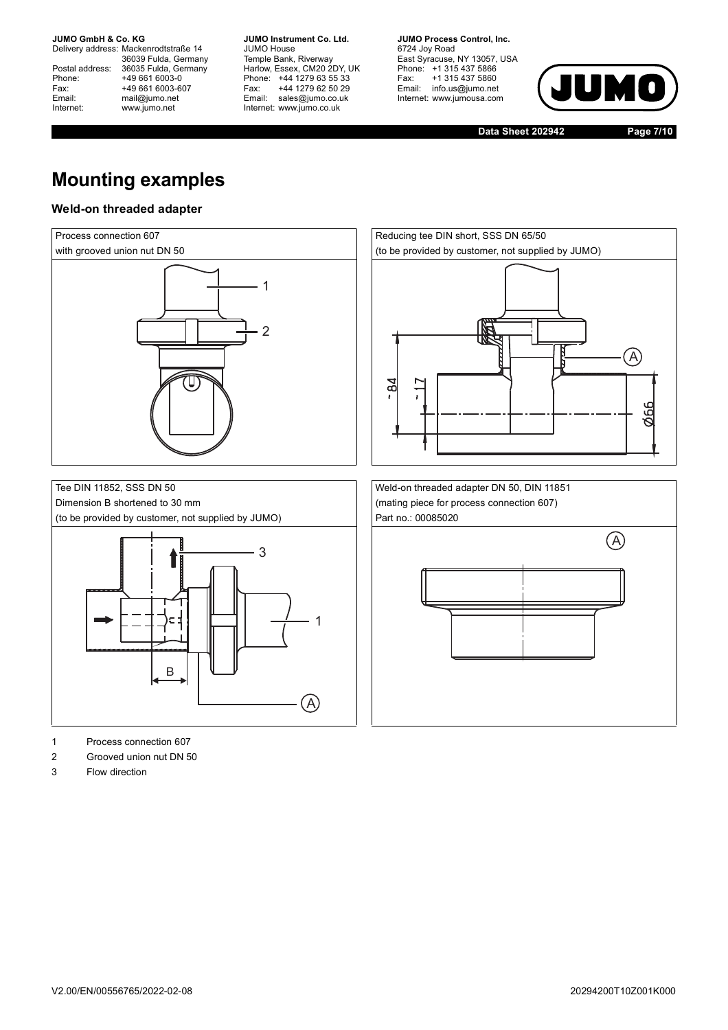Delivery address: Mackenrodtstraße 14 36039 Fulda, Germany Postal address: 36035 Fulda, Germany Postal address: 36035 Fulda, Ge<br>
Phone: +49 661 6003-0<br>
Fax: +49 661 6003-6<br>
Email: mail@jumo.net +49 661 6003-607 mail@jumo.net Internet: www.jumo.net

**JUMO Instrument Co. Ltd.** JUMO House Temple Bank, Riverway Harlow, Essex, CM20 2DY, UK Phone: +44 1279 63 55 33 Fax: +44 1279 62 50 29 Email: sales@jumo.co.uk Internet: www.jumo.co.uk

**JUMO Process Control, Inc.** 6724 Joy Road East Syracuse, NY 13057, USA Phone: +1 315 437 5866 Fax: +1 315 437 5860 Email: info.us@jumo.net Internet: www.jumousa.com



**Data Sheet 202942 Page 7/10**

# **Mounting examples**

### **Weld-on threaded adapter**



- 1 Process connection 607
- 2 Grooved union nut DN 50
- 3 Flow direction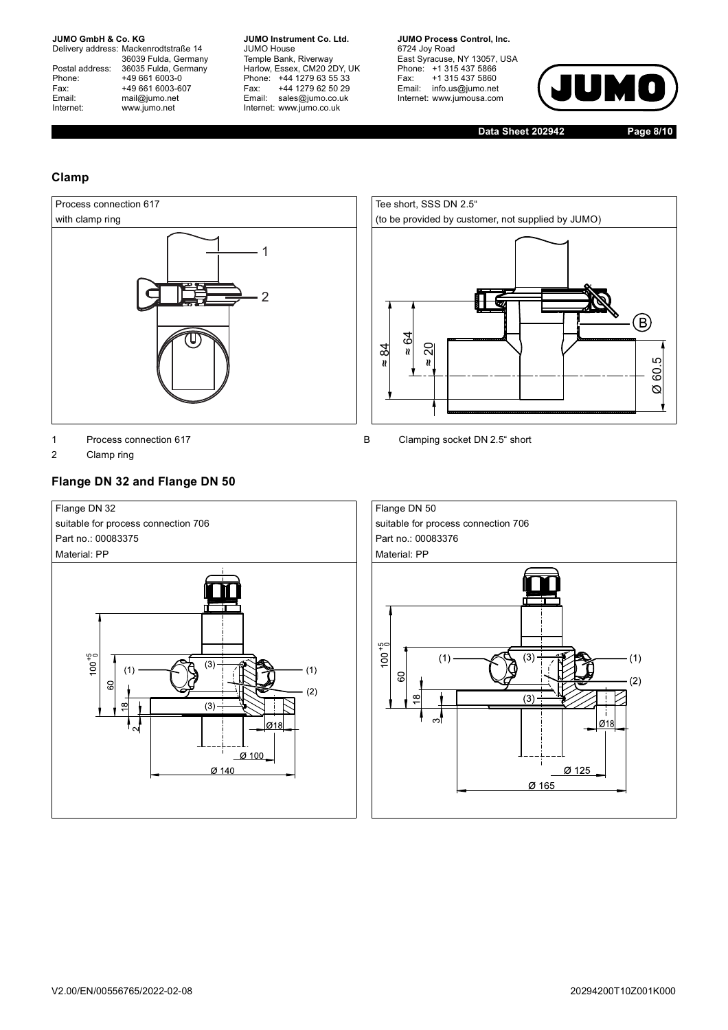Delivery address: Mackenrodtstraße 14 36039 Fulda, Germany Postal address: 36035 Fulda, Germany Postal address: 36035 Fulda, Ge<br>
Phone: +49 661 6003-0<br>
Fax: +49 661 6003-6<br>
Email: mail@jumo.net +49 661 6003-607 mail@jumo.net Internet: www.jumo.net

**JUMO Instrument Co. Ltd.** JUMO House Temple Bank, Riverway Harlow, Essex, CM20 2DY, UK Phone: +44 1279 63 55 33 Fax: +44 1279 62 50 29 Email: sales@jumo.co.uk Internet: www.jumo.co.uk

**JUMO Process Control, Inc.** 6724 Joy Road East Syracuse, NY 13057, USA Phone: +1 315 437 5866 Fax: +1 315 437 5860 Email: info.us@jumo.net Internet: www.jumousa.com



**Data Sheet 202942 Page 8/10**

### **Clamp**



2 Clamp ring

### **Flange DN 32 and Flange DN 50**





1 Process connection 617 **B** Clamping socket DN 2.5" short

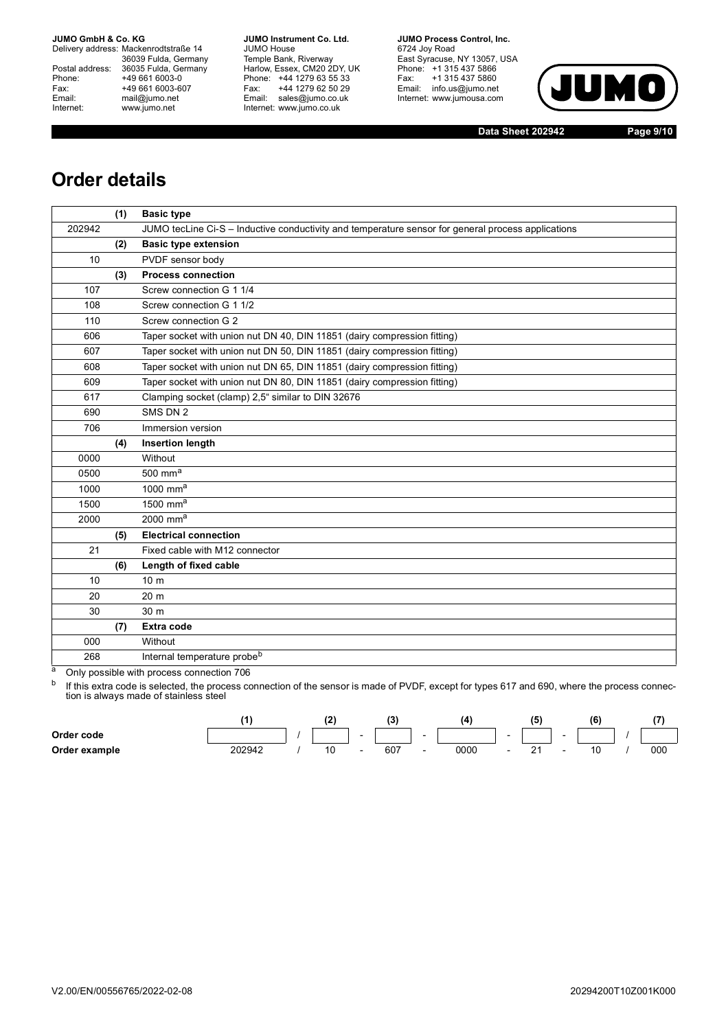Delivery address: Mackenrodtstraße 14 36039 Fulda, Germany Postal address: 36035 Fulda, Germany Phone: +49 661 6003-0<br>
Fax: +49 661 6003-6<br>
Email: mail@jumo.net +49 661 6003-607 mail@jumo.net Internet: www.jumo.net

**JUMO Instrument Co. Ltd.** JUMO House Temple Bank, Riverway Harlow, Essex, CM20 2DY, UK Phone: +44 1279 63 55 33 Fax: +44 1279 62 50 29 Email: sales@jumo.co.uk Internet: www.jumo.co.uk

**JUMO Process Control, Inc.** 6724 Joy Road East Syracuse, NY 13057, USA Phone: +1 315 437 5866 Fax: +1 315 437 5860 Email: info.us@jumo.net Internet: www.jumousa.com



**Data Sheet 202942 Page 9/10**

## **Order details**

|        | (1) | <b>Basic type</b>                                                                                  |
|--------|-----|----------------------------------------------------------------------------------------------------|
| 202942 |     | JUMO tecLine Ci-S - Inductive conductivity and temperature sensor for general process applications |
|        | (2) | <b>Basic type extension</b>                                                                        |
| 10     |     | PVDF sensor body                                                                                   |
|        | (3) | <b>Process connection</b>                                                                          |
| 107    |     | Screw connection G 1 1/4                                                                           |
| 108    |     | Screw connection G 1 1/2                                                                           |
| 110    |     | Screw connection G 2                                                                               |
| 606    |     | Taper socket with union nut DN 40, DIN 11851 (dairy compression fitting)                           |
| 607    |     | Taper socket with union nut DN 50, DIN 11851 (dairy compression fitting)                           |
| 608    |     | Taper socket with union nut DN 65, DIN 11851 (dairy compression fitting)                           |
| 609    |     | Taper socket with union nut DN 80, DIN 11851 (dairy compression fitting)                           |
| 617    |     | Clamping socket (clamp) 2,5" similar to DIN 32676                                                  |
| 690    |     | SMS DN 2                                                                                           |
| 706    |     | Immersion version                                                                                  |
|        | (4) | <b>Insertion length</b>                                                                            |
| 0000   |     | Without                                                                                            |
| 0500   |     | $500$ mm <sup>a</sup>                                                                              |
| 1000   |     | $1000$ mm <sup>a</sup>                                                                             |
| 1500   |     | 1500 mm $a$                                                                                        |
| 2000   |     | $2000$ mm <sup>a</sup>                                                                             |
|        | (5) | <b>Electrical connection</b>                                                                       |
| 21     |     | Fixed cable with M12 connector                                                                     |
|        | (6) | Length of fixed cable                                                                              |
| 10     |     | 10 <sub>m</sub>                                                                                    |
| 20     |     | 20 <sub>m</sub>                                                                                    |
| 30     |     | 30 m                                                                                               |
|        | (7) | Extra code                                                                                         |
| 000    |     | Without                                                                                            |
| 268    |     | Internal temperature probe <sup>b</sup>                                                            |

<span id="page-8-0"></span>a Only possible with process connection 706

<sup>b</sup> If this extra code is selected, the process connection of the sensor is made of PVDF, except for types 617 and 690, where the process connection is always made of stainless steel

|               |        |  |                          |     |                          | 14   |                          | 65 |        | (6) |     |
|---------------|--------|--|--------------------------|-----|--------------------------|------|--------------------------|----|--------|-----|-----|
| Order code    |        |  | $\overline{\phantom{0}}$ |     | $\overline{\phantom{a}}$ |      | $\overline{\phantom{0}}$ |    | $\sim$ |     |     |
| Order example | 202942 |  |                          | 607 | $\overline{\phantom{0}}$ | 0000 | $\overline{\phantom{0}}$ |    |        |     | 000 |